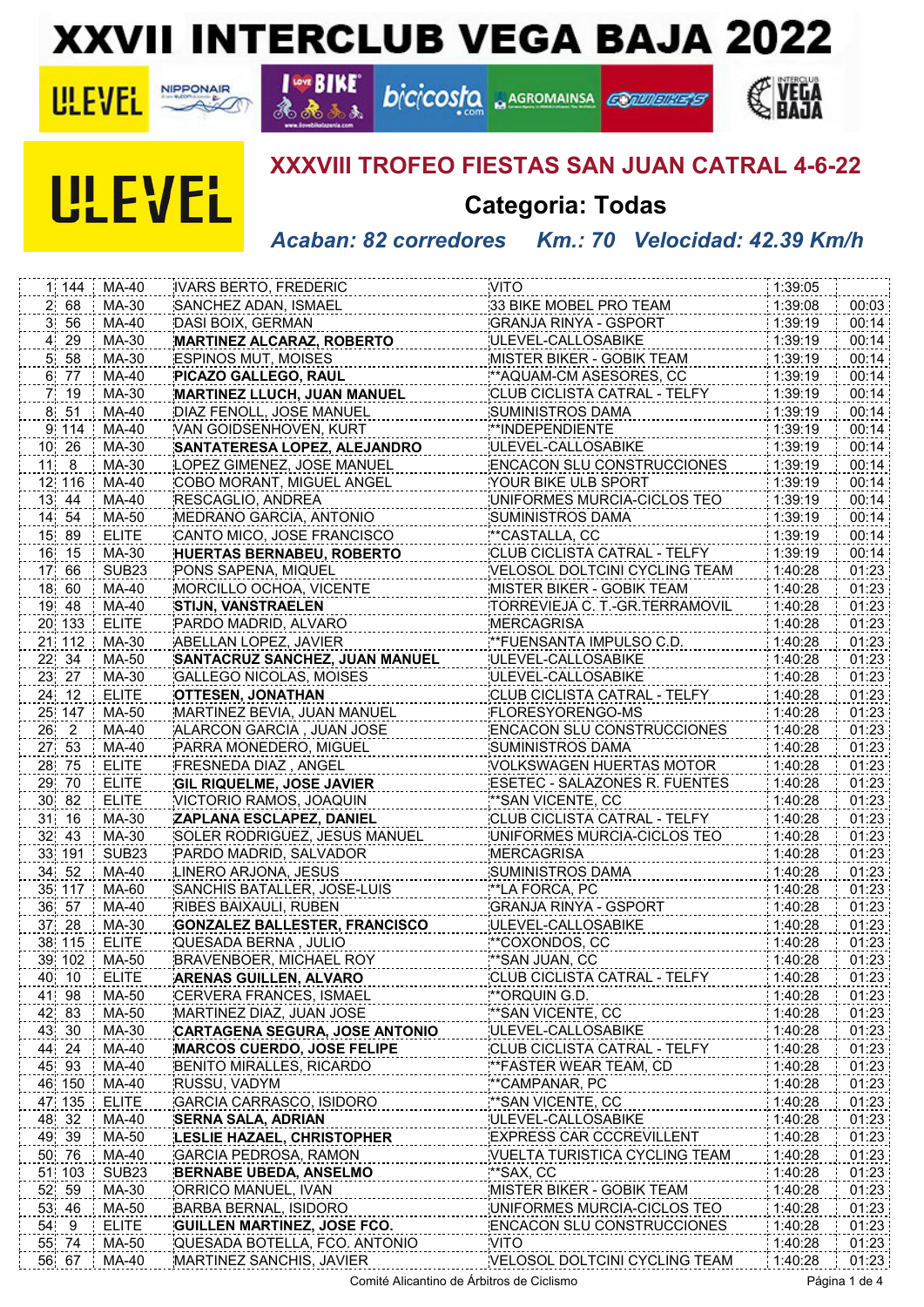## **XXVII INTERCLUB VEGA BAJA 2022**

**bicicosfo ARGROMAINSA** 



**ULEVEL** 



**I GOT BIKE** 

 $\Delta$ 

## **XXXVIII TROFEO FIESTAS SAN JUAN CATRAL 4-6-22**

**CONVINGS** 

## **Categoria: Todas**

*Acaban: 82 corredores Km.: 70 Velocidad: 42.39 Km/h*

| 1 144        | MA-40             | <b>IVARS BERTO, FREDERIC</b>          | <b>VITO</b>                                                      | 1:39:05 |       |
|--------------|-------------------|---------------------------------------|------------------------------------------------------------------|---------|-------|
| $2 \quad 68$ | MA-30             | SANCHEZ ADAN, ISMAEL                  | 33 BIKE MOBEL PRO TEAM                                           | 1:39:08 | 00:03 |
| 3, 56        | MA-40             | DASI BOIX, GERMAN                     | GRANJA RINYA - GSPORT                                            | 1:39:19 | 00:14 |
| 4 29         | MA-30             | <b>MARTINEZ ALCARAZ, ROBERTO</b>      | ULEVEL-CALLOSABIKE                                               | 1:39:19 | 00:14 |
| 5, 58        | MA-30             | <b>ESPINOS MUT, MOISES</b>            | MISTER BIKER - GOBIK TEAM                                        | 1:39:19 | 00:14 |
| 6 77         | MA-40             | PICAZO GALLEGO, RAUL                  | ** AQUAM-CM ASESORES, CC                                         | 1:39:19 | 00:14 |
| 7 19         | MA-30             | MARTINEZ LLUCH, JUAN MANUEL           | CLUB CICLISTA CATRAL - TELFY                                     | 1:39:19 | 00:14 |
| 8 51         | MA-40             | DIAZ FENOLL, JOSE MANUEL              | SUMINISTROS DAMA                                                 | 1:39:19 | 00:14 |
| 9 114        | MA-40             | VAN GOIDSENHOVEN, KURT                | **INDEPENDIENTE                                                  | 1:39:19 | 00:14 |
| 10 26        | MA-30             | SANTATERESA LOPEZ, ALEJANDRO          | ULEVEL-CALLOSABIKE                                               | 1:39:19 | 00:14 |
| $11 \quad 8$ | MA-30             | LOPEZ GIMENEZ, JOSE MANUEL            | <b>ENCACON SLU CONSTRUCCIONES</b>                                | 1:39:19 | 00:14 |
| 12 116       | MA-40             | COBO MORANT, MIGUEL ANGEL             | YOUR BIKE ULB SPORT                                              | 1:39:19 | 00:14 |
| 13 44        | MA-40             | RESCAGLIO, ANDREA                     | UNIFORMES MURCIA-CICLOS TEO                                      | 1:39:19 | 00:14 |
| 14 54        | MA-50             | MEDRANO GARCIA, ANTONIO               | SUMINISTROS DAMA                                                 | 1:39:19 | 00:14 |
| 15 89        | <b>ELITE</b>      | CANTO MICO, JOSE FRANCISCO            | **CASTALLA, CC                                                   | 1:39:19 | 00:14 |
| 16 15        | MA-30             | <b>HUERTAS BERNABEU, ROBERTO</b>      | CLUB CICLISTA CATRAL - TELFY                                     | 1:39:19 | 00:14 |
| 17 66        | SUB <sub>23</sub> | PONS SAPENA, MIQUEL                   | VELOSOL DOLTCINI CYCLING TEAM                                    | 1:40:28 | 01:23 |
| 18 60        | MA-40             | MORCILLO OCHOA, VICENTE               | MISTER BIKER - GOBIK TEAM                                        | 1:40:28 | 01:23 |
| 19 48        | MA-40             | <b>STIJN, VANSTRAELEN</b>             | TORREVIEJA C. T.-GR.TERRAMOVIL                                   | 1:40:28 | 01:23 |
| 20 133       | <b>ELITE</b>      | PARDO MADRID, ALVARO                  | <b>MERCAGRISA</b>                                                | 1:40:28 | 01:23 |
| 21 112       | MA-30             | ABELLAN LOPEZ, JAVIER                 | **FUENSANTA IMPULSO C.D.                                         | 1:40:28 | 01:23 |
| 22 34        | MA-50             | <b>SANTACRUZ SANCHEZ, JUAN MANUEL</b> | ULEVEL-CALLOSABIKE                                               | 1:40:28 | 01:23 |
| 23 27        | MA-30             | GALLEGO NICOLAS, MOISES               | ULEVEL-CALLOSABIKE                                               | 1:40:28 | 01:23 |
| 24 12        | <b>ELITE</b>      | <b>OTTESEN, JONATHAN</b>              | CLUB CICLISTA CATRAL - TELFY                                     | 1:40:28 | 01:23 |
| 25 147       | MA-50             | MARTINEZ BEVIA, JUAN MANUEL           | FLORESYORENGO-MS                                                 | 1:40:28 | 01:23 |
| 26 2         | MA-40             | ALARCON GARCIA, JUAN JOSE             | <b>ENCACON SLU CONSTRUCCIONES</b>                                | 1:40:28 | 01:23 |
| 27 53        | MA-40             | PARRA MONEDERO, MIGUEL                | SUMINISTROS DAMA                                                 | 1:40:28 | 01:23 |
| 28 75        | <b>ELITE</b>      | FRESNEDA DIAZ, ANGEL                  | VOLKSWAGEN HUERTAS MOTOR                                         | 1:40:28 | 01:23 |
| 29 70        | <b>ELITE</b>      | <b>GIL RIQUELME, JOSE JAVIER</b>      | ESETEC - SALAZONES R. FUENTES                                    | 1:40:28 | 01:23 |
| 30 82        | <b>ELITE</b>      | VICTORIO RAMOS, JOAQUIN               | **SAN VICENTE, CC                                                | 1:40:28 | 01:23 |
| 31 16        | MA-30             | ZAPLANA ESCLAPEZ, DANIEL              | CLUB CICLISTA CATRAL - TELFY                                     | 1:40:28 | 01:23 |
| 32 43        | MA-30             | SOLER RODRIGUEZ, JESUS MANUEL         | UNIFORMES MURCIA-CICLOS TEO                                      | 1:40:28 | 01:23 |
| 33 191       | SUB <sub>23</sub> | PARDO MADRID, SALVADOR                | <b>MERCAGRISA</b>                                                | 1:40:28 | 01:23 |
| 34 52        | MA-40             | LINERO ARJONA, JESUS                  | <b>SUMINISTROS DAMA</b>                                          | 1:40:28 | 01:23 |
| 35 117       | MA-60             | SANCHIS BATALLER, JOSE-LUIS           | **LA FORCA, PC                                                   | 1:40:28 | 01:23 |
| 36 57        | MA-40             | RIBES BAIXAULI, RUBEN                 | <b>GRANJA RINYA - GSPORT</b>                                     | 1:40:28 | 01:23 |
| 37 28        | MA-30             | <b>GONZALEZ BALLESTER, FRANCISCO</b>  | ULEVEL-CALLOSABIKE                                               | 1:40:28 | 01:23 |
| 38 115       | <b>ELITE</b>      | QUESADA BERNA, JULIO                  | **COXONDOS, CC                                                   | 1:40:28 | 01:23 |
| 39 102       | MA-50             | BRAVENBOER, MICHAEL ROY               | ** SAN JUAN, CC                                                  | 1:40:28 | 01:23 |
| 40 10        | <b>ELITE</b>      | <b>ARENAS GUILLEN, ALVARO</b>         | CLUB CICLISTA CATRAL - TELFY                                     | 1:40:28 | 01:23 |
| 41 98        | MA-50             | CERVERA FRANCES, ISMAEL               | **ORQUIN G.D.                                                    | 1:40:28 | 01:23 |
| 42 83        | MA-50             | MARTINEZ DIAZ, JUAN JOSE              | **SAN VICENTE, CC                                                | 1:40:28 | 01:23 |
| 43 30        | MA-30             | CARTAGENA SEGURA, JOSE ANTONIO        | ULEVEL-CALLOSABIKE                                               | 1:40:28 | 01:23 |
| 44 24        | MA-40             | <b>MARCOS CUERDO, JOSE FELIPE</b>     | CLUB CICLISTA CATRAL - TELFY                                     | 1:40:28 | 01:23 |
| 45 93        | MA-40             | BENITO MIRALLES, RICARDO              | **FASTER WEAR TEAM, CD                                           | 1:40:28 | 01:23 |
| 46 150       | MA-40             | RUSSU, VADYM                          | **CAMPANAR, PC                                                   | 1:40:28 | 01:23 |
| 47 135       | <b>ELITE</b>      | GARCIA CARRASCO, ISIDORO              | **SAN VICENTE, CC                                                | 1:40:28 | 01:23 |
| 48 32        | MA-40             | <b>SERNA SALA, ADRIAN</b>             | ULEVEL-CALLOSABIKE                                               | 1:40:28 | 01:23 |
|              | MA-50             |                                       |                                                                  | 1:40:28 |       |
| 49 39        | MA-40             | LESLIE HAZAEL, CHRISTOPHER            | <b>EXPRESS CAR CCCREVILLENT</b><br>VUELTA TURISTICA CYCLING TEAM |         | 01:23 |
| 50 76        |                   | GARCIA PEDROSA, RAMON                 | **SAX, CC                                                        | 1:40:28 | 01:23 |
| 51 103       | SUB <sub>23</sub> | <b>BERNABE UBEDA, ANSELMO</b>         |                                                                  | 1:40:28 | 01:23 |
| 52 59        | MA-30             | ORRICO MANUEL, IVAN                   | MISTER BIKER - GOBIK TEAM                                        | 1:40:28 | 01:23 |
| 53 46        | MA-50             | BARBA BERNAL, ISIDORO                 | UNIFORMES MURCIA-CICLOS TEO                                      | 1:40:28 | 01:23 |
| 54.9         | <b>ELITE</b>      | <b>GUILLEN MARTINEZ, JOSE FCO.</b>    | <b>ENCACON SLU CONSTRUCCIONES</b>                                | 1:40:28 | 01:23 |
| 55 74        | MA-50             | QUESADA BOTELLA, FCO. ANTONIO         | <b>VITO</b>                                                      | 1:40:28 | 01:23 |
| 56 67        | MA-40             | MARTINEZ SANCHIS, JAVIER              | VELOSOL DOLTCINI CYCLING TEAM                                    | 1:40:28 | 01:23 |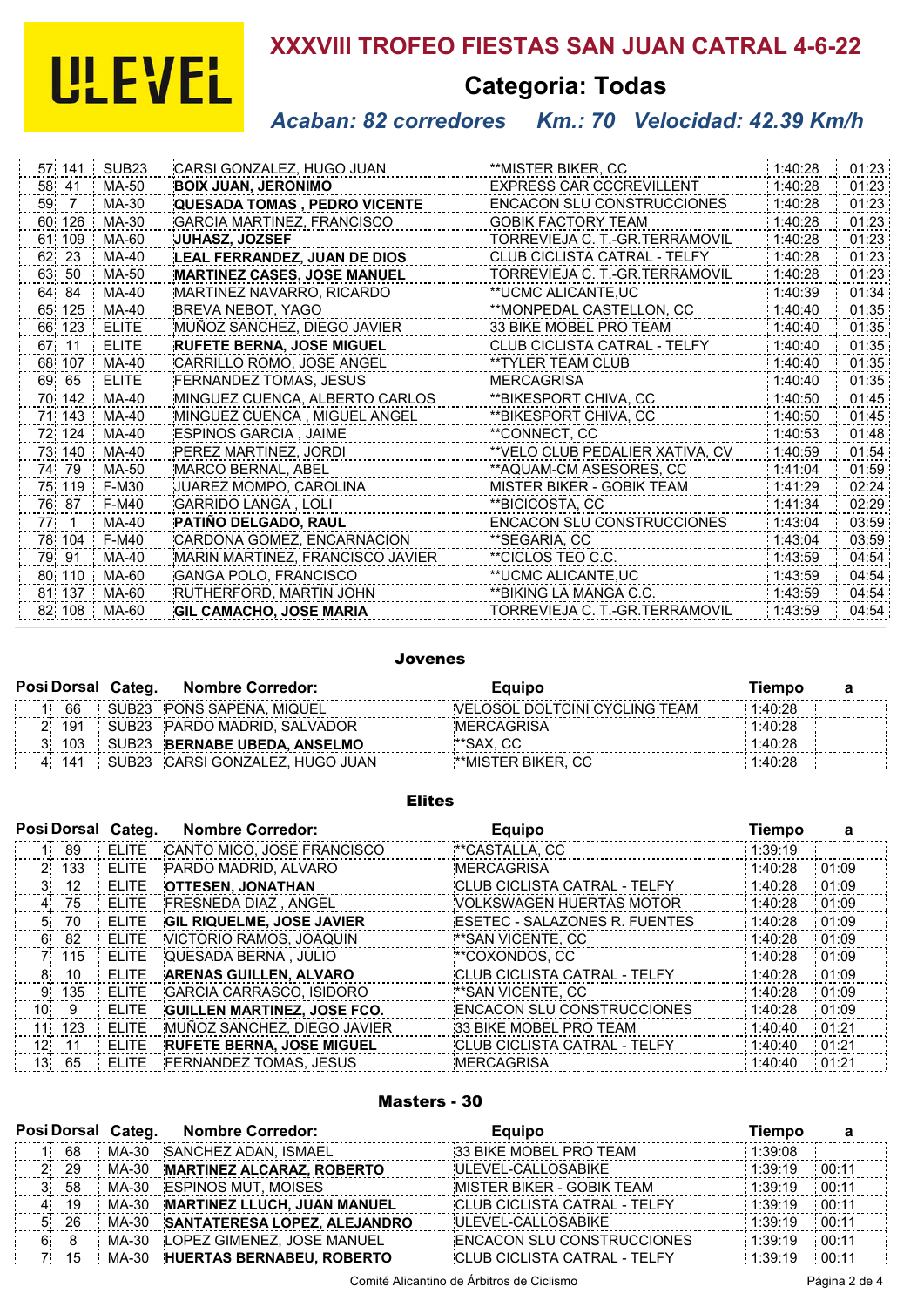# **ULEVEL**

## **XXXVIII TROFEO FIESTAS SAN JUAN CATRAL 4-6-22**

## **Categoria: Todas**

## *Acaban: 82 corredores Km.: 70 Velocidad: 42.39 Km/h*

| SUB <sub>23</sub> | CARSI GONZALEZ, HUGO JUAN           | **MISTER BIKER, CC                | 1:40:28 | 01:23 |
|-------------------|-------------------------------------|-----------------------------------|---------|-------|
| MA-50             | <b>BOIX JUAN, JERONIMO</b>          | <b>EXPRESS CAR CCCREVILLENT</b>   | 1:40:28 | 01:23 |
| MA-30             | <b>QUESADA TOMAS, PEDRO VICENTE</b> | <b>ENCACON SLU CONSTRUCCIONES</b> | 1:40:28 | 01:23 |
| MA-30             | <b>GARCIA MARTINEZ, FRANCISCO</b>   | <b>GOBIK FACTORY TEAM</b>         | 1:40:28 | 01:23 |
| MA-60             | <b>JUHASZ, JOZSEF</b>               | TORREVIEJA C. T. GR.TERRAMOVIL    | 1:40:28 | 01:23 |
| MA-40             | <b>LEAL FERRANDEZ, JUAN DE DIOS</b> | CLUB CICLISTA CATRAL - TELFY      | 1:40:28 | 01:23 |
| MA-50             | <b>MARTINEZ CASES, JOSE MANUEL</b>  | TORREVIEJA C. T.-GR.TERRAMOVIL    | 1:40:28 | 01:23 |
| MA-40             | MARTINEZ NAVARRO, RICARDO           | **UCMC ALICANTE.UC                | 1:40:39 | 01:34 |
| MA-40             | BREVA NEBOT, YAGO                   | **MONPEDAL CASTELLON, CC          | 1:40:40 | 01:35 |
| <b>ELITE</b>      | MUÑOZ SANCHEZ, DIEGO JAVIER         | 33 BIKE MOBEL PRO TEAM            | 1:40:40 | 01:35 |
| <b>ELITE</b>      | <b>RUFETE BERNA, JOSE MIGUEL</b>    | CLUB CICLISTA CATRAL - TELFY      | 1:40:40 | 01:35 |
| MA-40             | CARRILLO ROMO, JOSE ANGEL           | **TYLER TEAM CLUB                 | 1:40:40 | 01:35 |
| <b>ELITE</b>      | FERNANDEZ TOMAS, JESUS              | <b>MERCAGRISA</b>                 | 1:40:40 | 01:35 |
| MA-40             | MINGUEZ CUENCA, ALBERTO CARLOS      | **BIKESPORT CHIVA, CC             | 1:40:50 | 01:45 |
| MA-40             | MINGUEZ CUENCA, MIGUEL ANGEL        | **BIKESPORT CHIVA, CC             | 1:40:50 | 01:45 |
| MA-40             | ESPINOS GARCIA, JAIME               | **CONNECT, CC                     | 1:40:53 | 01:48 |
| MA-40             | PEREZ MARTINEZ, JORDI               | **VELO CLUB PEDALIER XATIVA, CV   | 1:40:59 | 01:54 |
| MA-50             | <b>MARCO BERNAL, ABEL</b>           | **AQUAM-CM ASESORES, CC           | 1:41:04 | 01:59 |
| F-M30             | JUAREZ MOMPO, CAROLINA              | MISTER BIKER - GOBIK TEAM         | 1:41:29 | 02:24 |
| F-M40             | <b>GARRIDO LANGA, LOLI</b>          | **BICICOSTA, CC                   | 1:41:34 | 02:29 |
| MA-40             | PATIÑO DELGADO, RAUL                | <b>ENCACON SLU CONSTRUCCIONES</b> | 1:43:04 | 03:59 |
| F-M40             | CARDONA GOMEZ, ENCARNACION          | **SEGARIA, CC                     | 1:43:04 | 03:59 |
| MA-40             | MARIN MARTINEZ, FRANCISCO JAVIER    | **CICLOS TEO C.C.                 | 1:43:59 | 04:54 |
| MA-60             | <b>GANGA POLO, FRANCISCO</b>        | **UCMC ALICANTE,UC                | 1:43:59 | 04:54 |
| MA-60             | RUTHERFORD, MARTIN JOHN             | **BIKING LA MANGA C.C.            | 1:43:59 | 04:54 |
| 82 108<br>MA-60   | <b>GIL CAMACHO, JOSE MARIA</b>      | TORREVIEJA C. T.-GR.TERRAMOVIL    | 1:43:59 | 04:54 |
|                   |                                     |                                   |         |       |

#### Jovenes

|  |  |     | Posi Dorsal Categ. Nombre Corredor: | Equipo                                | Tiempo                        |         |  |
|--|--|-----|-------------------------------------|---------------------------------------|-------------------------------|---------|--|
|  |  | 66  |                                     | SUB23 PONS SAPENA. MIQUEL             | VELOSOL DOLTCINI CYCLING TEAM | 1:40:28 |  |
|  |  | 191 |                                     | SUB23 PARDO MADRID, SALVADOR          | MERCAGRISA                    | 1:40:28 |  |
|  |  | 103 |                                     | SUB23 BERNABE UBEDA, ANSELMO          | **SAX. CC                     | 1:40:28 |  |
|  |  |     |                                     | 4 141 SUB23 CARSI GONZALEZ. HUGO JUAN | <b>**MISTER BIKER, CC</b>     | 1:40:28 |  |

#### Elites

| Posi Dorsal Categ. |       |              | <b>Nombre Corredor:</b>            | <b>Equipo</b>                       | <b>Tiempo</b> |       |
|--------------------|-------|--------------|------------------------------------|-------------------------------------|---------------|-------|
| 11.                | 89    | <b>ELITE</b> | CANTO MICO, JOSE FRANCISCO         | **CASTALLA, CC                      | 1:39:19       |       |
|                    | 2 133 | <b>ELITE</b> | PARDO MADRID, ALVARO               | <b>MERCAGRISA</b>                   | 1:40:28       | 01:09 |
| 3.                 | 12    | <b>ELITE</b> | <b>OTTESEN, JONATHAN</b>           | CLUB CICLISTA CATRAL - TELFY        | 1:40:28       | 01:09 |
| 4                  | 75    | <b>ELITE</b> | <b>FRESNEDA DIAZ, ANGEL</b>        | VOLKSWAGEN HUERTAS MOTOR            | 1:40:28       | 01:09 |
| 5                  | 70    | ELITE        | <b>GIL RIQUELME, JOSE JAVIER</b>   | ESETEC - SALAZONES R. FUENTES       | 1:40:28       | 01:09 |
| 6.                 | 82    | <b>ELITE</b> | VICTORIO RAMOS, JOAQUIN            | **SAN VICENTE. CC                   | 1:40:28       | 01:09 |
|                    | 7 115 | ELITE        | QUESADA BERNA, JULIO               | **COXONDOS, CC                      | 1:40:28       | 01:09 |
| 8.                 | 10    | <b>ELITE</b> | <b>ARENAS GUILLEN, ALVARO</b>      | CLUB CICLISTA CATRAL - TELFY        | 1:40:28       | 01:09 |
| 9.                 | 135   | ELITE        | <b>GARCIA CARRASCO, ISIDORO</b>    | **SAN VICENTE, CC                   | 1:40:28       | 01:09 |
| 10                 | -9    | ELITE        | <b>GUILLEN MARTINEZ, JOSE FCO.</b> | <b>ENCACON SLU CONSTRUCCIONES</b>   | 1:40:28       | 01:09 |
| 11                 | 123   | <b>ELITE</b> | MUÑOZ SANCHEZ, DIEGO JAVIER        | 33 BIKE MOBEL PRO TEAM              | 1:40:40       | 01:21 |
| 12 <sub>1</sub>    | 11    | <b>ELITE</b> | <b>RUFETE BERNA, JOSE MIGUEL</b>   | <b>CLUB CICLISTA CATRAL - TELFY</b> | 1:40:40       | 01:21 |
| 13.                | 65    | <b>ELITE</b> | <b>FERNANDEZ TOMAS, JESUS</b>      | <b>MERCAGRISA</b>                   | 1:40:40       | 01:21 |

#### Masters - 30

|     |                    | Posi Dorsal Categ.<br><b>Nombre Corredor:</b> |                                    | <b>Equipo</b>                       | Tiempo  |       |
|-----|--------------------|-----------------------------------------------|------------------------------------|-------------------------------------|---------|-------|
|     | 68                 | MA-30                                         | SANCHEZ ADAN, ISMAEL               | 33 BIKE MOBEL PRO TEAM              | 1:39:08 |       |
|     | -29<br>$2^{\circ}$ |                                               | MA-30 MARTINEZ ALCARAZ, ROBERTO    | ULEVEL-CALLOSABIKE                  | 1:39:19 | 00:11 |
|     | 58                 |                                               | MA-30 ESPINOS MUT, MOISES          | <b>MISTER BIKER - GOBIK TEAM</b>    | 1:39:19 | 00:11 |
|     | 4 19               |                                               | MA-30 MARTINEZ LLUCH, JUAN MANUEL  | <b>CLUB CICLISTA CATRAL - TELFY</b> | 1:39:19 | 00:11 |
| 5.  | -26                |                                               | MA-30 SANTATERESA LOPEZ, ALEJANDRO | <b>ULEVEL-CALLOSABIKE</b>           | 1:39:19 | 00:11 |
| 6   | - 8                |                                               | MA-30 LOPEZ GIMENEZ, JOSE MANUEL   | <b>ENCACON SLU CONSTRUCCIONES</b>   | 1:39:19 | 00:11 |
| 71. | 15                 |                                               | MA-30 HUERTAS BERNABEU, ROBERTO    | <b>CLUB CICLISTA CATRAL - TELFY</b> | 1:39:19 | 00:11 |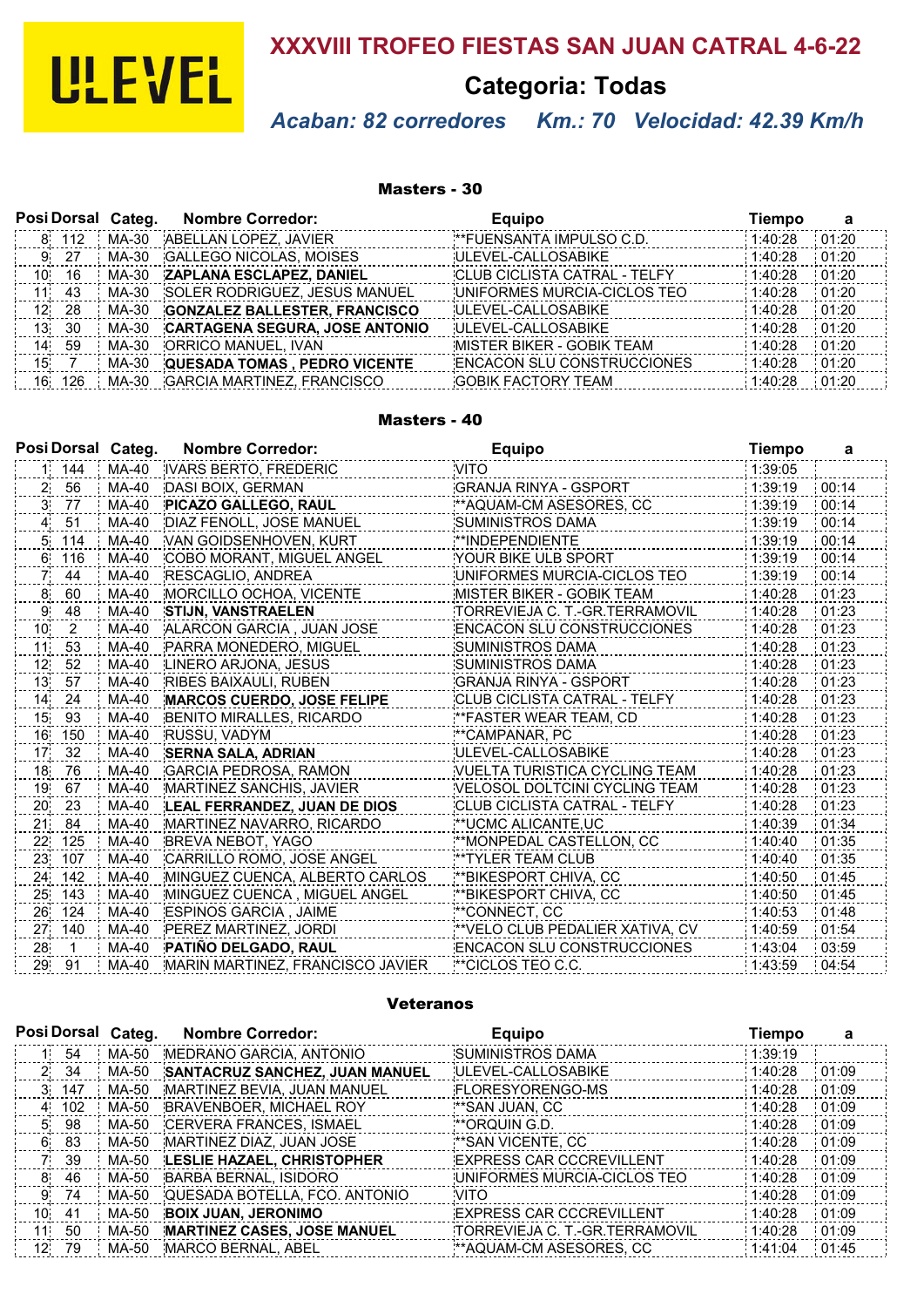

## **XXXVIII TROFEO FIESTAS SAN JUAN CATRAL 4-6-22**

**Categoria: Todas**

## *Acaban: 82 corredores Km.: 70 Velocidad: 42.39 Km/h*

#### Masters - 30

|      |       | Posi Dorsal Categ. | <b>Nombre Corredor:</b>               | <b>Equipo</b>                       | Tiempo  | а     |
|------|-------|--------------------|---------------------------------------|-------------------------------------|---------|-------|
| 8    | 112   | MA-30              | ABELLAN LOPEZ, JAVIER                 | **FUENSANTA IMPULSO C.D.            | 1:40:28 | 01:20 |
| 9 27 |       | MA-30              | <b>GALLEGO NICOLAS, MOISES</b>        | ULEVEL-CALLOSABIKE                  | 1:40:28 | 01:20 |
| 10   | 16    | MA-30              | <b>ZAPLANA ESCLAPEZ, DANIEL</b>       | <b>CLUB CICLISTA CATRAL - TELFY</b> | 1:40:28 | 01:20 |
| 11   | 43    | MA-30              | SOLER RODRIGUEZ, JESUS MANUEL         | UNIFORMES MURCIA-CICLOS TEO         | 1:40:28 | 01:20 |
|      | 12 28 | MA-30              | <b>GONZALEZ BALLESTER, FRANCISCO</b>  | ULEVEL-CALLOSABIKE                  | 1:40:28 | 01:20 |
|      | 13 30 | MA-30              | <b>CARTAGENA SEGURA, JOSE ANTONIO</b> | ULEVEL-CALLOSABIKE                  | 1:40:28 | 01:20 |
| 14.  | -59   | MA-30              | ORRICO MANUEL, IVAN                   | <b>MISTER BIKER - GOBIK TEAM</b>    | 1:40:28 | 01:20 |
| 15   |       | MA-30              | <b>QUESADA TOMAS, PEDRO VICENTE</b>   | <b>ENCACON SLU CONSTRUCCIONES</b>   | 1:40:28 | 01:20 |
| 16   | 126   | MA-30              | <b>GARCIA MARTINEZ, FRANCISCO</b>     | <b>GOBIK FACTORY TEAM</b>           | 1:40:28 | 01:20 |

#### Masters - 40

| Posi Dorsal Categ.               |       | <b>Nombre Corredor:</b>           | <b>Equipo</b>                     | <b>Tiempo</b> | a     |
|----------------------------------|-------|-----------------------------------|-----------------------------------|---------------|-------|
| 1 144                            | MA-40 | <b>IVARS BERTO, FREDERIC</b>      | <b>VITO</b>                       | 1:39:05       |       |
| 2 <sup>1</sup><br>56             | MA-40 | DASI BOIX, GERMAN                 | <b>GRANJA RINYA - GSPORT</b>      | 1:39:19       | 00:14 |
| 77<br>3.                         | MA-40 | PICAZO GALLEGO, RAUL              | **AQUAM-CM ASESORES, CC           | 1:39:19       | 00:14 |
| 51<br>$\overline{4}$             | MA-40 | DIAZ FENOLL, JOSE MANUEL          | <b>SUMINISTROS DAMA</b>           | 1:39:19       | 00:14 |
| 114<br>5.                        | MA-40 | VAN GOIDSENHOVEN, KURT            | **INDEPENDIENTE                   | 1:39:19       | 00:14 |
| 6<br>116                         | MA-40 | COBO MORANT, MIGUEL ANGEL         | YOUR BIKE ULB SPORT               | 1:39:19       | 00:14 |
| 44<br>7.                         | MA-40 | RESCAGLIO, ANDREA                 | UNIFORMES MURCIA-CICLOS TEO       | 1:39:19       | 00:14 |
| 8<br>60                          | MA-40 | MORCILLO OCHOA, VICENTE           | <b>MISTER BIKER - GOBIK TEAM</b>  | 1:40:28       | 01:23 |
| 48<br>9                          | MA-40 | <b>STIJN, VANSTRAELEN</b>         | TORREVIEJA C. T.-GR.TERRAMOVIL    | 1:40:28       | 01:23 |
| $\mathcal{P}$<br>10 <sub>1</sub> | MA-40 | ALARCON GARCIA, JUAN JOSE         | ENCACON SLU CONSTRUCCIONES        | 1:40:28       | 01:23 |
| 53<br>11                         | MA-40 | PARRA MONEDERO, MIGUEL            | <b>SUMINISTROS DAMA</b>           | 1:40:28       | 01:23 |
| 12 <sub>1</sub><br>52            | MA-40 | LINERO ARJONA, JESUS              | <b>SUMINISTROS DAMA</b>           | 1:40:28       | 01:23 |
| 57<br>13 <sub>1</sub>            | MA-40 | <b>RIBES BAIXAULI, RUBEN</b>      | <b>GRANJA RINYA - GSPORT</b>      | 1:40:28       | 01:23 |
| 14<br>24                         | MA-40 | <b>MARCOS CUERDO, JOSE FELIPE</b> | CLUB CICLISTA CATRAL - TELFY      | 1:40:28       | 01:23 |
| 93<br>15                         | MA-40 | BENITO MIRALLES, RICARDO          | ** FASTER WEAR TEAM, CD           | 1:40:28       | 01:23 |
| 16<br>150                        | MA-40 | RUSSU, VADYM                      | **CAMPANAR, PC                    | 1:40:28       | 01:23 |
| 32<br>17 <sup>°</sup>            | MA-40 | <b>SERNA SALA, ADRIAN</b>         | ULEVEL-CALLOSABIKE                | 1:40:28       | 01:23 |
| 18.<br>76                        | MA-40 | <b>GARCIA PEDROSA, RAMON</b>      | VUELTA TURISTICA CYCLING TEAM     | 1:40:28       | 01:23 |
| 19<br>67                         | MA-40 | MARTINEZ SANCHIS, JAVIER          | VELOSOL DOLTCINI CYCLING TEAM     | 1:40:28       | 01:23 |
| 23<br>20                         | MA-40 | LEAL FERRANDEZ. JUAN DE DIOS      | CLUB CICLISTA CATRAL - TELFY      | 1:40:28       | 01:23 |
| 21<br>84                         | MA-40 | MARTINEZ NAVARRO, RICARDO         | **UCMC ALICANTE,UC                | 1:40:39       | 01:34 |
| 22 <sub>1</sub><br>125           | MA-40 | <b>BREVA NEBOT, YAGO</b>          | **MONPEDAL CASTELLON, CC          | 1:40:40       | 01:35 |
| 23<br>107                        | MA-40 | CARRILLO ROMO, JOSE ANGEL         | <b>**TYLER TEAM CLUB</b>          | 1:40:40       | 01:35 |
| 24 142                           | MA-40 | MINGUEZ CUENCA, ALBERTO CARLOS    | **BIKESPORT CHIVA, CC             | 1:40:50       | 01:45 |
| 25 143                           | MA-40 | MINGUEZ CUENCA, MIGUEL ANGEL      | **BIKESPORT CHIVA, CC             | 1:40:50       | 01:45 |
| 26 124                           | MA-40 | <b>ESPINOS GARCIA, JAIME</b>      | **CONNECT, CC                     | 1:40:53       | 01:48 |
| 27<br>140                        | MA-40 | PEREZ MARTINEZ, JORDI             | **VELO CLUB PEDALIER XATIVA, CV   | 1:40:59       | 01:54 |
| 28.<br>$\mathbf{1}$              | MA-40 | PATIÑO DELGADO, RAUL              | <b>ENCACON SLU CONSTRUCCIONES</b> | 1:43:04       | 03:59 |
| 29<br>91                         | MA-40 | MARIN MARTINEZ, FRANCISCO JAVIER  | **CICLOS TEO C.C.                 | 1:43:59       | 04:54 |

#### Veteranos

| Posi Dorsal Categ. |     |       | <b>Nombre Corredor:</b>               | <b>Equipo</b>                   | <b>Tiempo</b> | а     |
|--------------------|-----|-------|---------------------------------------|---------------------------------|---------------|-------|
| 1 i                | 54  | MA-50 | MEDRANO GARCIA, ANTONIO               | <b>SUMINISTROS DAMA</b>         | 1:39:19       |       |
| $2^{\circ}$        | 34  | MA-50 | <b>SANTACRUZ SANCHEZ, JUAN MANUEL</b> | ULEVEL-CALLOSABIKE              | 1:40:28       | 01:09 |
| 3                  | 147 | MA-50 | MARTINEZ BEVIA, JUAN MANUEL           | <b>FLORESYORENGO-MS</b>         | 1:40:28       | 01:09 |
| 4                  | 102 | MA-50 | BRAVENBOER, MICHAEL ROY               | **SAN JUAN, CC                  | 1:40:28       | 01:09 |
| 5.                 | 98  | MA-50 | CERVERA FRANCES, ISMAEL               | **ORQUIN G.D.                   | 1:40:28       | 01:09 |
| 6                  | 83  | MA-50 | MARTINEZ DIAZ, JUAN JOSE              | **SAN VICENTE, CC               | 1:40:28       | 01:09 |
|                    | 39  | MA-50 | LESLIE HAZAEL, CHRISTOPHER            | <b>EXPRESS CAR CCCREVILLENT</b> | 1:40:28       | 01:09 |
| 8                  | 46  | MA-50 | BARBA BERNAL, ISIDORO                 | UNIFORMES MURCIA-CICLOS TEO     | 1:40:28       | 01:09 |
| 9                  | 74  | MA-50 | QUESADA BOTELLA, FCO. ANTONIO         | <b>VITO</b>                     | 1:40:28       | 01:09 |
| 10 <sup>1</sup>    | 41  | MA-50 | <b>BOIX JUAN, JERONIMO</b>            | <b>EXPRESS CAR CCCREVILLENT</b> | 1:40:28       | 01:09 |
| 11                 | 50  | MA-50 | <b>MARTINEZ CASES, JOSE MANUEL</b>    | TORREVIEJA C. T.-GR.TERRAMOVIL  | 1:40:28       | 01:09 |
| 12 <sub>1</sub>    | 79  | MA-50 | MARCO BERNAL, ABEL                    | **AQUAM-CM ASESORES, CC         | 1:41:04       | 01:45 |